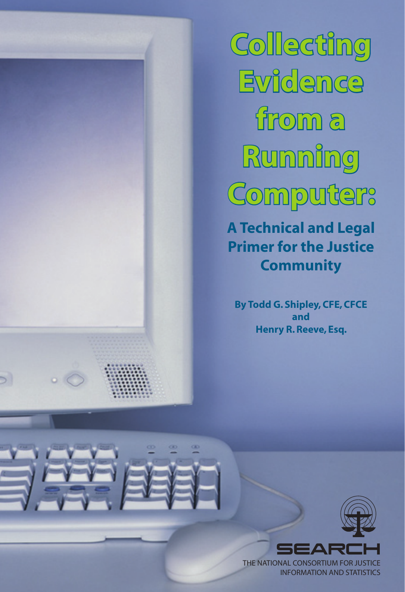**Collecting Evidence from a Running Computer:**

**A Technical and Legal Primer for the Justice Community**

**By Todd G. Shipley, CFE, CFCE and Henry R. Reeve, Esq.**

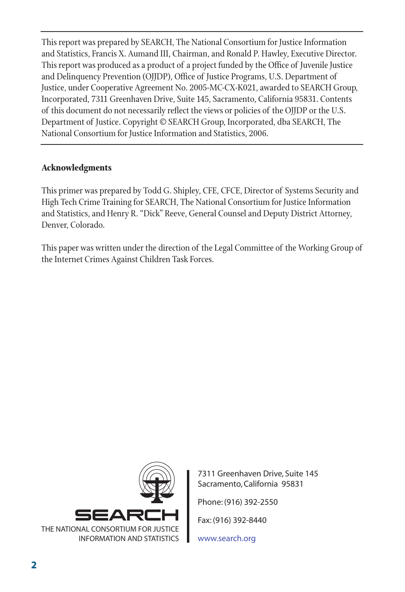This report was prepared by SEARCH, The National Consortium for Justice Information and Statistics, Francis X. Aumand III, Chairman, and Ronald P. Hawley, Executive Director. This report was produced as a product of a project funded by the Office of Juvenile Justice and Delinquency Prevention (OJJDP), Office of Justice Programs, U.S. Department of Justice, under Cooperative Agreement No. 2005-MC-CX-K021, awarded to SEARCH Group, Incorporated, 7311 Greenhaven Drive, Suite 145, Sacramento, California 95831. Contents of this document do not necessarily reflect the views or policies of the OJJDP or the U.S. Department of Justice. Copyright © SEARCH Group, Incorporated, dba SEARCH, The National Consortium for Justice Information and Statistics, 2006.

#### **Acknowledgments**

This primer was prepared by Todd G. Shipley, CFE, CFCE, Director of Systems Security and High Tech Crime Training for SEARCH, The National Consortium for Justice Information and Statistics, and Henry R. "Dick" Reeve, General Counsel and Deputy District Attorney, Denver, Colorado.

This paper was written under the direction of the Legal Committee of the Working Group of the Internet Crimes Against Children Task Forces.



7311 Greenhaven Drive, Suite 145 Sacramento, California 95831 Phone: (916) 392-2550

Fax: (916) 392-8440

www.search.org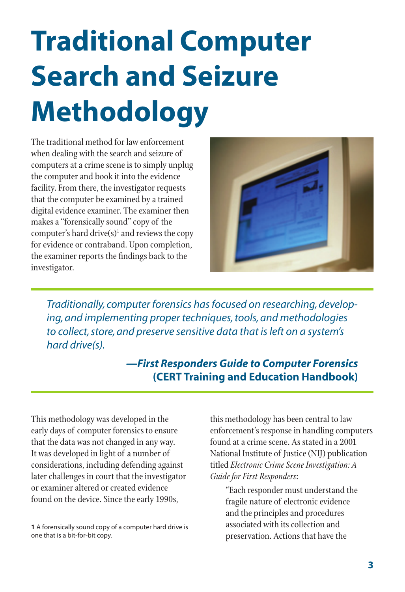# **Traditional Computer Search and Seizure Methodology**

The traditional method for law enforcement when dealing with the search and seizure of computers at a crime scene is to simply unplug the computer and book it into the evidence facility. From there, the investigator requests that the computer be examined by a trained digital evidence examiner. The examiner then makes a "forensically sound" copy of the computer's hard drive $(s)^1$  and reviews the copy for evidence or contraband. Upon completion, the examiner reports the findings back to the investigator.



*Traditionally, computer forensics has focused on researching, developing, and implementing proper techniques, tools, and methodologies to collect, store, and preserve sensitive data that is left on a system's hard drive(s).*

> *—First Responders Guide to Computer Forensics* **(CERT Training and Education Handbook)**

This methodology was developed in the early days of computer forensics to ensure that the data was not changed in any way. It was developed in light of a number of considerations, including defending against later challenges in court that the investigator or examiner altered or created evidence found on the device. Since the early 1990s,

this methodology has been central to law enforcement's response in handling computers found at a crime scene. As stated in a 2001 National Institute of Justice (NIJ) publication titled *Electronic Crime Scene Investigation: A Guide for First Responders*:

"Each responder must understand the fragile nature of electronic evidence and the principles and procedures associated with its collection and preservation. Actions that have the

**<sup>1</sup>** A forensically sound copy of a computer hard drive is one that is a bit-for-bit copy.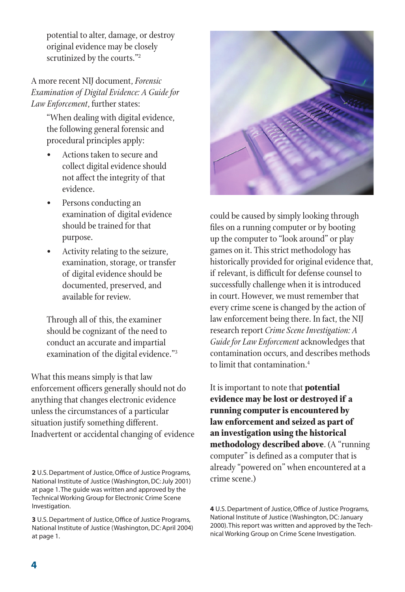potential to alter, damage, or destroy original evidence may be closely scrutinized by the courts."2

A more recent NIJ document, *Forensic Examination of Digital Evidence: A Guide for Law Enforcement*, further states:

> "When dealing with digital evidence, the following general forensic and procedural principles apply:

- Actions taken to secure and collect digital evidence should not affect the integrity of that evidence.
- Persons conducting an examination of digital evidence should be trained for that purpose.
- Activity relating to the seizure, examination, storage, or transfer of digital evidence should be documented, preserved, and available for review.

Through all of this, the examiner should be cognizant of the need to conduct an accurate and impartial examination of the digital evidence."3

What this means simply is that law enforcement officers generally should not do anything that changes electronic evidence unless the circumstances of a particular situation justify something different. Inadvertent or accidental changing of evidence

**2** U.S. Department of Justice, Office of Justice Programs, National Institute of Justice (Washington, DC: July 2001) at page 1. The guide was written and approved by the Technical Working Group for Electronic Crime Scene Investigation.

**3** U.S. Department of Justice, Office of Justice Programs, National Institute of Justice (Washington, DC: April 2004) at page 1.



could be caused by simply looking through files on a running computer or by booting up the computer to "look around" or play games on it. This strict methodology has historically provided for original evidence that, if relevant, is difficult for defense counsel to successfully challenge when it is introduced in court. However, we must remember that every crime scene is changed by the action of law enforcement being there. In fact, the NIJ research report *Crime Scene Investigation: A Guide for Law Enforcement* acknowledges that contamination occurs, and describes methods to limit that contamination.4

It is important to note that **potential evidence may be lost or destroyed if a running computer is encountered by law enforcement and seized as part of an investigation using the historical methodology described above**. (A "running computer" is defined as a computer that is already "powered on" when encountered at a crime scene.)

**4** U.S. Department of Justice, Office of Justice Programs, National Institute of Justice (Washington, DC: January 2000). This report was written and approved by the Technical Working Group on Crime Scene Investigation.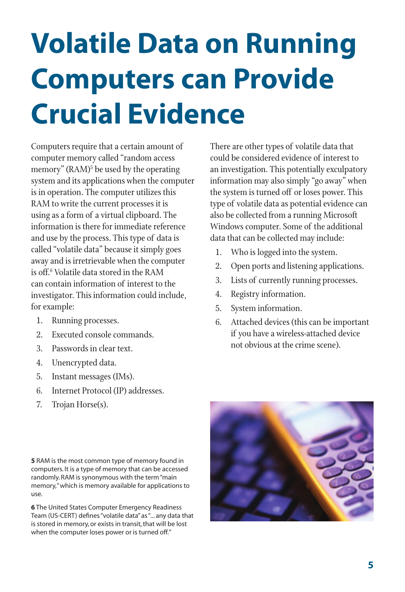### **Volatile Data on Running Computers can Provide Crucial Evidence**

Computers require that a certain amount of computer memory called "random access memory" (RAM)<sup>5</sup> be used by the operating system and its applications when the computer is in operation. The computer utilizes this RAM to write the current processes it is using as a form of a virtual clipboard. The information is there for immediate reference and use by the process. This type of data is called "volatile data" because it simply goes away and is irretrievable when the computer is off.6 Volatile data stored in the RAM can contain information of interest to the investigator. This information could include, for example:

- 1. Running processes.
- 2. Executed console commands.
- 3. Passwords in clear text.
- 4. Unencrypted data.
- 5. Instant messages (IMs).
- 6. Internet Protocol (IP) addresses.
- 7. Trojan Horse(s).

**5** RAM is the most common type of memory found in computers. It is a type of memory that can be accessed randomly. RAM is synonymous with the term "main memory," which is memory available for applications to use.

**6** The United States Computer Emergency Readiness Team (US-CERT) defines "volatile data" as "... any data that is stored in memory, or exists in transit, that will be lost when the computer loses power or is turned off."

There are other types of volatile data that could be considered evidence of interest to an investigation. This potentially exculpatory information may also simply "go away" when the system is turned off or loses power. This type of volatile data as potential evidence can also be collected from a running Microsoft Windows computer. Some of the additional data that can be collected may include:

- 1. Who is logged into the system.
- 2. Open ports and listening applications.
- 3. Lists of currently running processes.
- 4. Registry information.
- 5. System information.
- 6. Attached devices (this can be important if you have a wireless-attached device not obvious at the crime scene).

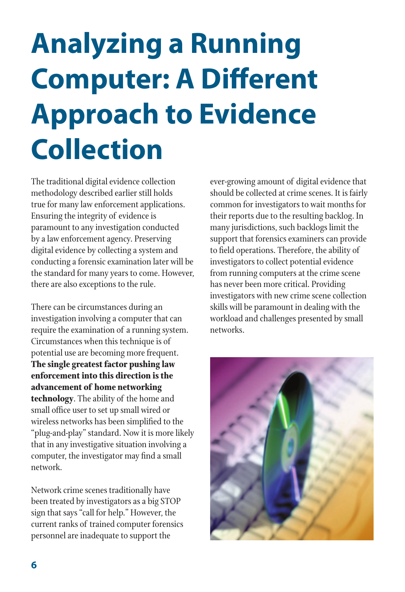### **Analyzing a Running Computer: A Different Approach to Evidence Collection**

The traditional digital evidence collection methodology described earlier still holds true for many law enforcement applications. Ensuring the integrity of evidence is paramount to any investigation conducted by a law enforcement agency. Preserving digital evidence by collecting a system and conducting a forensic examination later will be the standard for many years to come. However, there are also exceptions to the rule.

There can be circumstances during an investigation involving a computer that can require the examination of a running system. Circumstances when this technique is of potential use are becoming more frequent. **The single greatest factor pushing law enforcement into this direction is the advancement of home networking technology**. The ability of the home and small office user to set up small wired or wireless networks has been simplified to the "plug-and-play" standard. Now it is more likely that in any investigative situation involving a computer, the investigator may find a small network.

Network crime scenes traditionally have been treated by investigators as a big STOP sign that says "call for help." However, the current ranks of trained computer forensics personnel are inadequate to support the

ever-growing amount of digital evidence that should be collected at crime scenes. It is fairly common for investigators to wait months for their reports due to the resulting backlog. In many jurisdictions, such backlogs limit the support that forensics examiners can provide to field operations. Therefore, the ability of investigators to collect potential evidence from running computers at the crime scene has never been more critical. Providing investigators with new crime scene collection skills will be paramount in dealing with the workload and challenges presented by small networks.

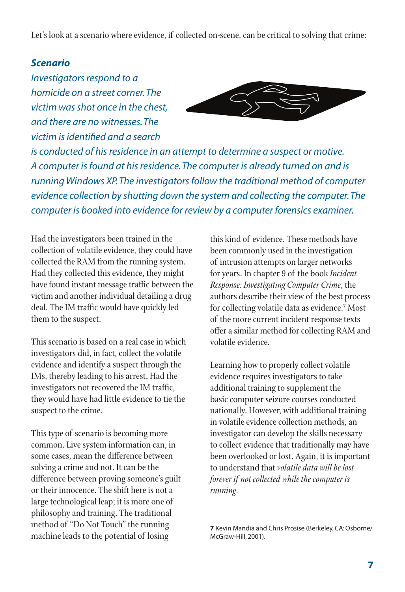Let's look at a scenario where evidence, if collected on-scene, can be critical to solving that crime:

#### *Scenario*

*Investigators respond to a homicide on a street corner. The victim was shot once in the chest, and there are no witnesses. The victim is identified and a search* 



*is conducted of his residence in an attempt to determine a suspect or motive. A computer is found at his residence. The computer is already turned on and is running Windows XP. The investigators follow the traditional method of computer evidence collection by shutting down the system and collecting the computer. The computer is booked into evidence for review by a computer forensics examiner.*

Had the investigators been trained in the collection of volatile evidence, they could have collected the RAM from the running system. Had they collected this evidence, they might have found instant message traffic between the victim and another individual detailing a drug deal. The IM traffic would have quickly led them to the suspect.

This scenario is based on a real case in which investigators did, in fact, collect the volatile evidence and identify a suspect through the IMs, thereby leading to his arrest. Had the investigators not recovered the IM traffic, they would have had little evidence to tie the suspect to the crime.

This type of scenario is becoming more common. Live system information can, in some cases, mean the difference between solving a crime and not. It can be the difference between proving someone's guilt or their innocence. The shift here is not a large technological leap; it is more one of philosophy and training. The traditional method of "Do Not Touch" the running machine leads to the potential of losing

this kind of evidence. These methods have been commonly used in the investigation of intrusion attempts on larger networks for years. In chapter 9 of the book *Incident Response: Investigating Computer Crime*, the authors describe their view of the best process for collecting volatile data as evidence.<sup>7</sup> Most of the more current incident response texts offer a similar method for collecting RAM and volatile evidence.

Learning how to properly collect volatile evidence requires investigators to take additional training to supplement the basic computer seizure courses conducted nationally. However, with additional training in volatile evidence collection methods, an investigator can develop the skills necessary to collect evidence that traditionally may have been overlooked or lost. Again, it is important to understand that *volatile data will be lost forever if not collected while the computer is running*.

**7** Kevin Mandia and Chris Prosise (Berkeley, CA: Osborne/ McGraw-Hill, 2001).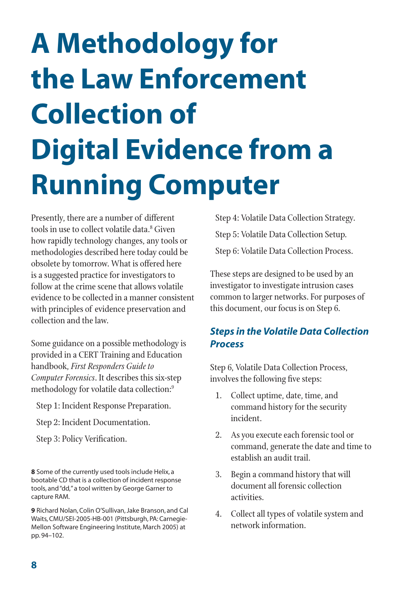# **A Methodology for the Law Enforcement Collection of Digital Evidence from a Running Computer**

Presently, there are a number of different tools in use to collect volatile data.8 Given how rapidly technology changes, any tools or methodologies described here today could be obsolete by tomorrow. What is offered here is a suggested practice for investigators to follow at the crime scene that allows volatile evidence to be collected in a manner consistent with principles of evidence preservation and collection and the law.

Some guidance on a possible methodology is provided in a CERT Training and Education handbook, *First Responders Guide to Computer Forensics*. It describes this six-step methodology for volatile data collection:<sup>9</sup>

- Step 1: Incident Response Preparation.
- Step 2: Incident Documentation.
- Step 3: Policy Verification.

**8** Some of the currently used tools include Helix, a bootable CD that is a collection of incident response tools, and "dd," a tool written by George Garner to capture RAM.

**9** Richard Nolan, Colin O'Sullivan, Jake Branson, and Cal Waits, CMU/SEI-2005-HB-001 (Pittsburgh, PA: Carnegie-Mellon Software Engineering Institute, March 2005) at pp. 94–102.

Step 4: Volatile Data Collection Strategy. Step 5: Volatile Data Collection Setup. Step 6: Volatile Data Collection Process.

These steps are designed to be used by an investigator to investigate intrusion cases common to larger networks. For purposes of this document, our focus is on Step 6.

#### *Steps in the Volatile Data Collection Process*

Step 6, Volatile Data Collection Process, involves the following five steps:

- 1. Collect uptime, date, time, and command history for the security incident.
- 2. As you execute each forensic tool or command, generate the date and time to establish an audit trail.
- 3. Begin a command history that will document all forensic collection activities.
- 4. Collect all types of volatile system and network information.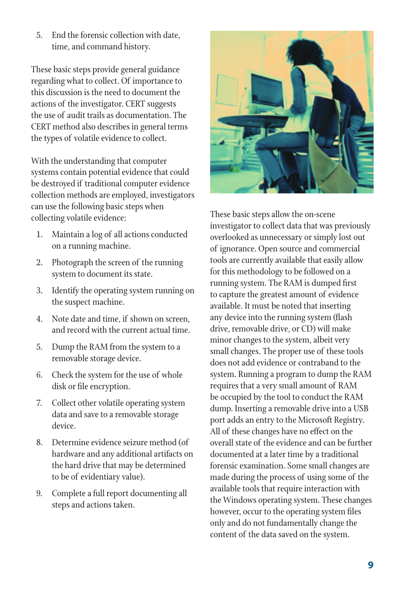5. End the forensic collection with date, time, and command history.

These basic steps provide general guidance regarding what to collect. Of importance to this discussion is the need to document the actions of the investigator. CERT suggests the use of audit trails as documentation. The CERT method also describes in general terms the types of volatile evidence to collect.

With the understanding that computer systems contain potential evidence that could be destroyed if traditional computer evidence collection methods are employed, investigators can use the following basic steps when collecting volatile evidence:

- 1. Maintain a log of all actions conducted on a running machine.
- 2. Photograph the screen of the running system to document its state.
- 3. Identify the operating system running on the suspect machine.
- 4. Note date and time, if shown on screen, and record with the current actual time.
- 5. Dump the RAM from the system to a removable storage device.
- 6. Check the system for the use of whole disk or file encryption.
- 7. Collect other volatile operating system data and save to a removable storage device.
- 8. Determine evidence seizure method (of hardware and any additional artifacts on the hard drive that may be determined to be of evidentiary value).
- 9. Complete a full report documenting all steps and actions taken.



These basic steps allow the on-scene investigator to collect data that was previously overlooked as unnecessary or simply lost out of ignorance. Open source and commercial tools are currently available that easily allow for this methodology to be followed on a running system. The RAM is dumped first to capture the greatest amount of evidence available. It must be noted that inserting any device into the running system (flash drive, removable drive, or CD) will make minor changes to the system, albeit very small changes. The proper use of these tools does not add evidence or contraband to the system. Running a program to dump the RAM requires that a very small amount of RAM be occupied by the tool to conduct the RAM dump. Inserting a removable drive into a USB port adds an entry to the Microsoft Registry. All of these changes have no effect on the overall state of the evidence and can be further documented at a later time by a traditional forensic examination. Some small changes are made during the process of using some of the available tools that require interaction with the Windows operating system. These changes however, occur to the operating system files only and do not fundamentally change the content of the data saved on the system.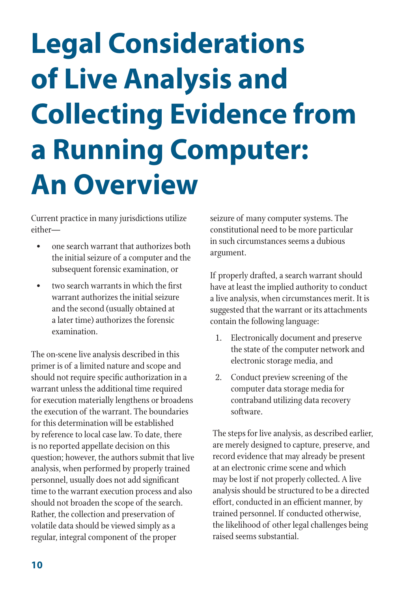# **Legal Considerations of Live Analysis and Collecting Evidence from a Running Computer: An Overview**

Current practice in many jurisdictions utilize either—

- one search warrant that authorizes both the initial seizure of a computer and the subsequent forensic examination, or
- two search warrants in which the first warrant authorizes the initial seizure and the second (usually obtained at a later time) authorizes the forensic examination.

The on-scene live analysis described in this primer is of a limited nature and scope and should not require specific authorization in a warrant unless the additional time required for execution materially lengthens or broadens the execution of the warrant. The boundaries for this determination will be established by reference to local case law. To date, there is no reported appellate decision on this question; however, the authors submit that live analysis, when performed by properly trained personnel, usually does not add significant time to the warrant execution process and also should not broaden the scope of the search. Rather, the collection and preservation of volatile data should be viewed simply as a regular, integral component of the proper

seizure of many computer systems. The constitutional need to be more particular in such circumstances seems a dubious argument.

If properly drafted, a search warrant should have at least the implied authority to conduct a live analysis, when circumstances merit. It is suggested that the warrant or its attachments contain the following language:

- 1. Electronically document and preserve the state of the computer network and electronic storage media, and
- 2. Conduct preview screening of the computer data storage media for contraband utilizing data recovery software.

The steps for live analysis, as described earlier, are merely designed to capture, preserve, and record evidence that may already be present at an electronic crime scene and which may be lost if not properly collected. A live analysis should be structured to be a directed effort, conducted in an efficient manner, by trained personnel. If conducted otherwise, the likelihood of other legal challenges being raised seems substantial.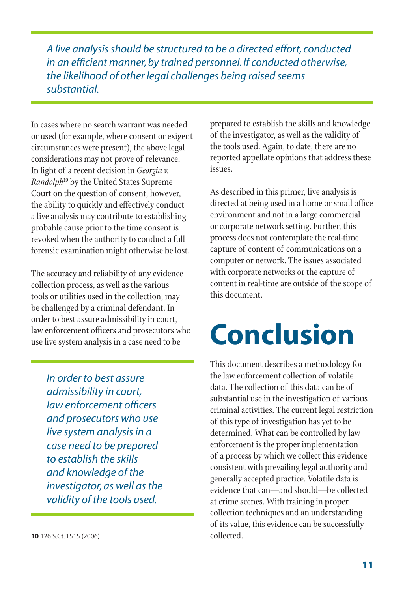*A live analysis should be structured to be a directed effort, conducted in an efficient manner, by trained personnel. If conducted otherwise, the likelihood of other legal challenges being raised seems substantial.*

In cases where no search warrant was needed or used (for example, where consent or exigent circumstances were present), the above legal considerations may not prove of relevance. In light of a recent decision in *Georgia v. Randolph*10 by the United States Supreme Court on the question of consent, however, the ability to quickly and effectively conduct a live analysis may contribute to establishing probable cause prior to the time consent is revoked when the authority to conduct a full forensic examination might otherwise be lost.

The accuracy and reliability of any evidence collection process, as well as the various tools or utilities used in the collection, may be challenged by a criminal defendant. In order to best assure admissibility in court, law enforcement officers and prosecutors who use live system analysis in a case need to be

*In order to best assure admissibility in court, law enforcement officers and prosecutors who use live system analysis in a case need to be prepared to establish the skills and knowledge of the investigator, as well as the validity of the tools used.*

**10** 126 S.Ct. 1515 (2006)

prepared to establish the skills and knowledge of the investigator, as well as the validity of the tools used. Again, to date, there are no reported appellate opinions that address these issues.

As described in this primer, live analysis is directed at being used in a home or small office environment and not in a large commercial or corporate network setting. Further, this process does not contemplate the real-time capture of content of communications on a computer or network. The issues associated with corporate networks or the capture of content in real-time are outside of the scope of this document.

#### **Conclusion**

This document describes a methodology for the law enforcement collection of volatile data. The collection of this data can be of substantial use in the investigation of various criminal activities. The current legal restriction of this type of investigation has yet to be determined. What can be controlled by law enforcement is the proper implementation of a process by which we collect this evidence consistent with prevailing legal authority and generally accepted practice. Volatile data is evidence that can—and should—be collected at crime scenes. With training in proper collection techniques and an understanding of its value, this evidence can be successfully collected.